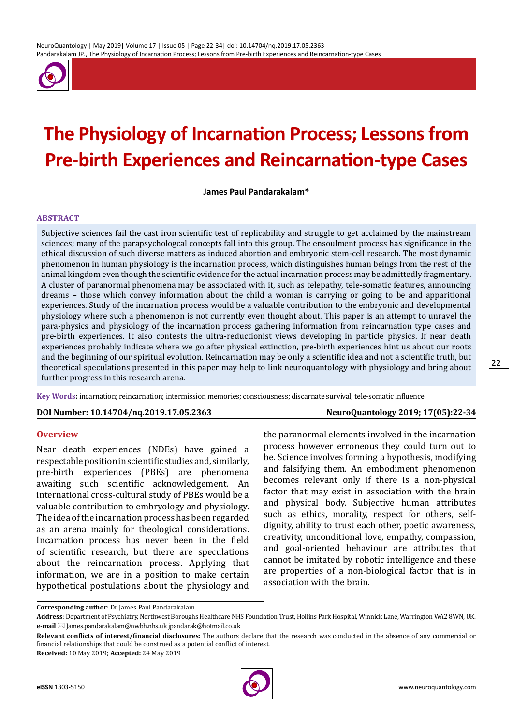

# **The Physiology of Incarnation Process; Lessons from Pre-birth Experiences and Reincarnation-type Cases**

**James Paul Pandarakalam\***

#### **ABSTRACT**

Subjective sciences fail the cast iron scientific test of replicability and struggle to get acclaimed by the mainstream sciences; many of the parapsychologcal concepts fall into this group. The ensoulment process has significance in the ethical discussion of such diverse matters as induced abortion and embryonic stem-cell research. The most dynamic phenomenon in human physiology is the incarnation process, which distinguishes human beings from the rest of the animal kingdom even though the scientific evidence for the actual incarnation process may be admittedly fragmentary. A cluster of paranormal phenomena may be associated with it, such as telepathy, tele-somatic features, announcing dreams – those which convey information about the child a woman is carrying or going to be and apparitional experiences. Study of the incarnation process would be a valuable contribution to the embryonic and developmental physiology where such a phenomenon is not currently even thought about. This paper is an attempt to unravel the para-physics and physiology of the incarnation process gathering information from reincarnation type cases and pre-birth experiences. It also contests the ultra-reductionist views developing in particle physics. If near death experiences probably indicate where we go after physical extinction, pre-birth experiences hint us about our roots and the beginning of our spiritual evolution. Reincarnation may be only a scientific idea and not a scientific truth, but theoretical speculations presented in this paper may help to link neuroquantology with physiology and bring about further progress in this research arena.

**Key Words:** incarnation; reincarnation; intermission memories; consciousness; discarnate survival; tele-somatic influence

#### **DOI Number: 10.14704/nq.2019.17.05.2363 NeuroQuantology 2019; 17(05):22-34**

22

#### **Overview**

Near death experiences (NDEs) have gained a respectable position in scientific studies and, similarly, pre-birth experiences (PBEs) are phenomena awaiting such scientific acknowledgement. An international cross-cultural study of PBEs would be a valuable contribution to embryology and physiology. The idea of the incarnation process has been regarded as an arena mainly for theological considerations. Incarnation process has never been in the field of scientific research, but there are speculations about the reincarnation process. Applying that information, we are in a position to make certain hypothetical postulations about the physiology and

the paranormal elements involved in the incarnation process however erroneous they could turn out to be. Science involves forming a hypothesis, modifying and falsifying them. An embodiment phenomenon becomes relevant only if there is a non-physical factor that may exist in association with the brain and physical body. Subjective human attributes such as ethics, morality, respect for others, selfdignity, ability to trust each other, poetic awareness, creativity, unconditional love, empathy, compassion, and goal-oriented behaviour are attributes that cannot be imitated by robotic intelligence and these are properties of a non-biological factor that is in association with the brain.

**Received:** 10 May 2019; **Accepted:** 24 May 2019



**Corresponding author**: Dr James Paul Pandarakalam

**Address**: Department of Psychiatry, Northwest Boroughs Healthcare NHS Foundation Trust, Hollins Park Hospital, Winnick Lane, Warrington WA2 8WN, UK. **e-mail** ⊠ James.pandarakalam@nwbh.nhs.uk jpandarak@hotmail.co.uk

**Relevant conflicts of interest/financial disclosures:** The authors declare that the research was conducted in the absence of any commercial or financial relationships that could be construed as a potential conflict of interest.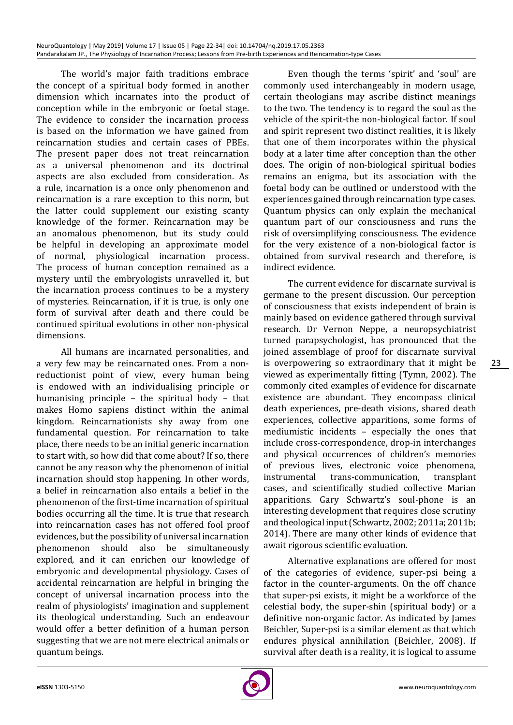The world's major faith traditions embrace the concept of a spiritual body formed in another dimension which incarnates into the product of conception while in the embryonic or foetal stage. The evidence to consider the incarnation process is based on the information we have gained from reincarnation studies and certain cases of PBEs. The present paper does not treat reincarnation as a universal phenomenon and its doctrinal aspects are also excluded from consideration. As a rule, incarnation is a once only phenomenon and reincarnation is a rare exception to this norm, but the latter could supplement our existing scanty knowledge of the former. Reincarnation may be an anomalous phenomenon, but its study could be helpful in developing an approximate model of normal, physiological incarnation process. The process of human conception remained as a mystery until the embryologists unravelled it, but the incarnation process continues to be a mystery of mysteries. Reincarnation, if it is true, is only one form of survival after death and there could be continued spiritual evolutions in other non-physical dimensions.

All humans are incarnated personalities, and a very few may be reincarnated ones. From a nonreductionist point of view, every human being is endowed with an individualising principle or humanising principle – the spiritual body – that makes Homo sapiens distinct within the animal kingdom. Reincarnationists shy away from one fundamental question. For reincarnation to take place, there needs to be an initial generic incarnation to start with, so how did that come about? If so, there cannot be any reason why the phenomenon of initial incarnation should stop happening. In other words, a belief in reincarnation also entails a belief in the phenomenon of the first-time incarnation of spiritual bodies occurring all the time. It is true that research into reincarnation cases has not offered fool proof evidences, but the possibility of universal incarnation phenomenon should also be simultaneously explored, and it can enrichen our knowledge of embryonic and developmental physiology. Cases of accidental reincarnation are helpful in bringing the concept of universal incarnation process into the realm of physiologists' imagination and supplement its theological understanding. Such an endeavour would offer a better definition of a human person suggesting that we are not mere electrical animals or quantum beings.

Even though the terms 'spirit' and 'soul' are commonly used interchangeably in modern usage, certain theologians may ascribe distinct meanings to the two. The tendency is to regard the soul as the vehicle of the spirit-the non-biological factor. If soul and spirit represent two distinct realities, it is likely that one of them incorporates within the physical body at a later time after conception than the other does. The origin of non-biological spiritual bodies remains an enigma, but its association with the foetal body can be outlined or understood with the experiences gained through reincarnation type cases. Quantum physics can only explain the mechanical quantum part of our consciousness and runs the risk of oversimplifying consciousness. The evidence for the very existence of a non-biological factor is obtained from survival research and therefore, is indirect evidence.

The current evidence for discarnate survival is germane to the present discussion. Our perception of consciousness that exists independent of brain is mainly based on evidence gathered through survival research. Dr Vernon Neppe, a neuropsychiatrist turned parapsychologist, has pronounced that the joined assemblage of proof for discarnate survival is overpowering so extraordinary that it might be viewed as experimentally fitting (Tymn, 2002). The commonly cited examples of evidence for discarnate existence are abundant. They encompass clinical death experiences, pre-death visions, shared death experiences, collective apparitions, some forms of mediumistic incidents – especially the ones that include cross-correspondence, drop-in interchanges and physical occurrences of children's memories of previous lives, electronic voice phenomena,<br>instrumental trans-communication. transplant trans-communication, cases, and scientifically studied collective Marian apparitions. Gary Schwartz's soul-phone is an interesting development that requires close scrutiny and theological input (Schwartz, 2002; 2011a; 2011b; 2014). There are many other kinds of evidence that await rigorous scientific evaluation.

Alternative explanations are offered for most of the categories of evidence, super-psi being a factor in the counter-arguments. On the off chance that super-psi exists, it might be a workforce of the celestial body, the super-shin (spiritual body) or a definitive non-organic factor. As indicated by James Beichler, Super-psi is a similar element as that which endures physical annihilation (Beichler, 2008). If survival after death is a reality, it is logical to assume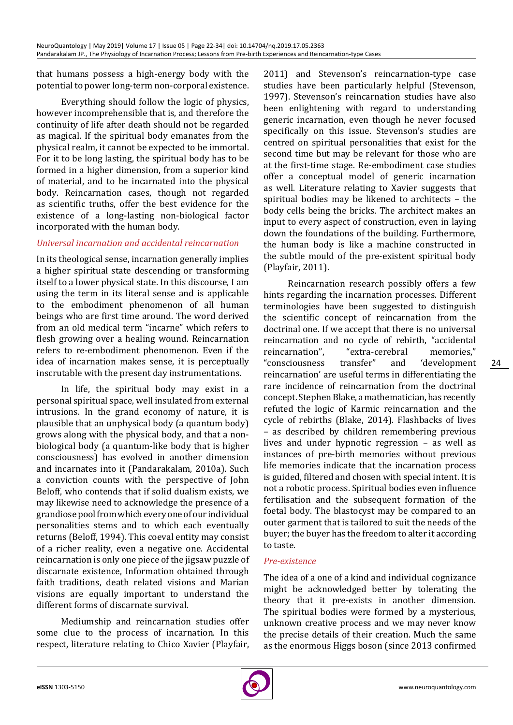that humans possess a high-energy body with the potential to power long-term non-corporal existence.

Everything should follow the logic of physics, however incomprehensible that is, and therefore the continuity of life after death should not be regarded as magical. If the spiritual body emanates from the physical realm, it cannot be expected to be immortal. For it to be long lasting, the spiritual body has to be formed in a higher dimension, from a superior kind of material, and to be incarnated into the physical body. Reincarnation cases, though not regarded as scientific truths, offer the best evidence for the existence of a long-lasting non-biological factor incorporated with the human body.

# *Universal incarnation and accidental reincarnation*

In its theological sense, incarnation generally implies a higher spiritual state descending or transforming itself to a lower physical state. In this discourse, I am using the term in its literal sense and is applicable to the embodiment phenomenon of all human beings who are first time around. The word derived from an old medical term "incarne" which refers to flesh growing over a healing wound. Reincarnation refers to re-embodiment phenomenon. Even if the idea of incarnation makes sense, it is perceptually inscrutable with the present day instrumentations.

In life, the spiritual body may exist in a personal spiritual space, well insulated from external intrusions. In the grand economy of nature, it is plausible that an unphysical body (a quantum body) grows along with the physical body, and that a nonbiological body (a quantum-like body that is higher consciousness) has evolved in another dimension and incarnates into it (Pandarakalam, 2010a). Such a conviction counts with the perspective of John Beloff, who contends that if solid dualism exists, we may likewise need to acknowledge the presence of a grandiose pool from which every one of our individual personalities stems and to which each eventually returns (Beloff, 1994). This coeval entity may consist of a richer reality, even a negative one. Accidental reincarnation is only one piece of the jigsaw puzzle of discarnate existence, Information obtained through faith traditions, death related visions and Marian visions are equally important to understand the different forms of discarnate survival.

Mediumship and reincarnation studies offer some clue to the process of incarnation. In this respect, literature relating to Chico Xavier (Playfair,

2011) and Stevenson's reincarnation-type case studies have been particularly helpful (Stevenson, 1997). Stevenson's reincarnation studies have also been enlightening with regard to understanding generic incarnation, even though he never focused specifically on this issue. Stevenson's studies are centred on spiritual personalities that exist for the second time but may be relevant for those who are at the first-time stage. Re-embodiment case studies offer a conceptual model of generic incarnation as well. Literature relating to Xavier suggests that spiritual bodies may be likened to architects – the body cells being the bricks. The architect makes an input to every aspect of construction, even in laying down the foundations of the building. Furthermore, the human body is like a machine constructed in the subtle mould of the pre-existent spiritual body (Playfair, 2011).

Reincarnation research possibly offers a few hints regarding the incarnation processes. Different terminologies have been suggested to distinguish the scientific concept of reincarnation from the doctrinal one. If we accept that there is no universal reincarnation and no cycle of rebirth, "accidental<br>reincarnation", "extra-cerebral memories," "extra-cerebral memories,"<br>transfer" and 'development " consciousness reincarnation' are useful terms in differentiating the rare incidence of reincarnation from the doctrinal concept. Stephen Blake, a mathematician, has recently refuted the logic of Karmic reincarnation and the cycle of rebirths (Blake, 2014). Flashbacks of lives – as described by children remembering previous lives and under hypnotic regression – as well as instances of pre-birth memories without previous life memories indicate that the incarnation process is guided, filtered and chosen with special intent. It is not a robotic process. Spiritual bodies even influence fertilisation and the subsequent formation of the foetal body. The blastocyst may be compared to an outer garment that is tailored to suit the needs of the buyer; the buyer has the freedom to alter it according to taste.

#### *Pre-existence*

The idea of a one of a kind and individual cognizance might be acknowledged better by tolerating the theory that it pre-exists in another dimension. The spiritual bodies were formed by a mysterious, unknown creative process and we may never know the precise details of their creation. Much the same as the enormous Higgs boson (since 2013 confirmed

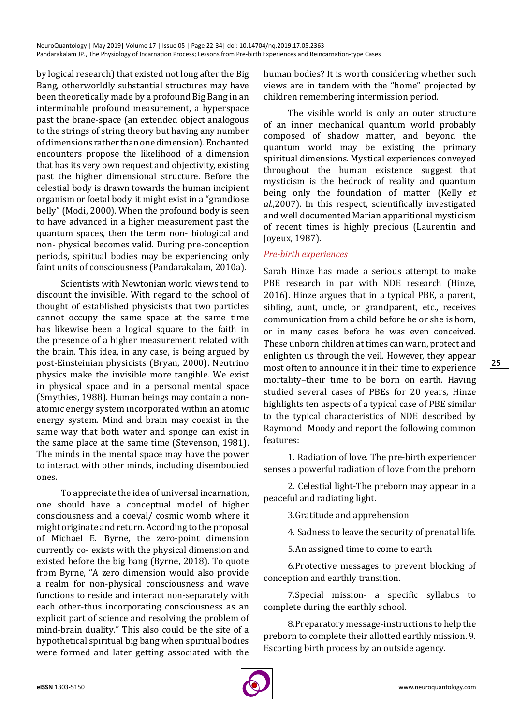by logical research) that existed not long after the Big Bang, otherworldly substantial structures may have been theoretically made by a profound Big Bang in an interminable profound measurement, a hyperspace past the brane-space (an extended object analogous to the strings of string theory but having any number of dimensions rather than one dimension). Enchanted encounters propose the likelihood of a dimension that has its very own request and objectivity, existing past the higher dimensional structure. Before the celestial body is drawn towards the human incipient organism or foetal body, it might exist in a "grandiose belly" (Modi, 2000). When the profound body is seen to have advanced in a higher measurement past the quantum spaces, then the term non- biological and non- physical becomes valid. During pre-conception periods, spiritual bodies may be experiencing only faint units of consciousness (Pandarakalam, 2010a).

Scientists with Newtonian world views tend to discount the invisible. With regard to the school of thought of established physicists that two particles cannot occupy the same space at the same time has likewise been a logical square to the faith in the presence of a higher measurement related with the brain. This idea, in any case, is being argued by post-Einsteinian physicists (Bryan, 2000). Neutrino physics make the invisible more tangible. We exist in physical space and in a personal mental space (Smythies, 1988). Human beings may contain a nonatomic energy system incorporated within an atomic energy system. Mind and brain may coexist in the same way that both water and sponge can exist in the same place at the same time (Stevenson, 1981). The minds in the mental space may have the power to interact with other minds, including disembodied ones.

To appreciate the idea of universal incarnation, one should have a conceptual model of higher consciousness and a coeval/ cosmic womb where it might originate and return. According to the proposal of Michael E. Byrne, the zero-point dimension currently co- exists with the physical dimension and existed before the big bang (Byrne, 2018). To quote from Byrne, "A zero dimension would also provide a realm for non-physical consciousness and wave functions to reside and interact non-separately with each other-thus incorporating consciousness as an explicit part of science and resolving the problem of mind-brain duality." This also could be the site of a hypothetical spiritual big bang when spiritual bodies were formed and later getting associated with the human bodies? It is worth considering whether such views are in tandem with the "home" projected by children remembering intermission period.

The visible world is only an outer structure of an inner mechanical quantum world probably composed of shadow matter, and beyond the quantum world may be existing the primary spiritual dimensions. Mystical experiences conveyed throughout the human existence suggest that mysticism is the bedrock of reality and quantum being only the foundation of matter (Kelly *et al.*,2007). In this respect, scientifically investigated and well documented Marian apparitional mysticism of recent times is highly precious (Laurentin and Joyeux, 1987).

#### *Pre-birth experiences*

Sarah Hinze has made a serious attempt to make PBE research in par with NDE research (Hinze, 2016). Hinze argues that in a typical PBE, a parent, sibling, aunt, uncle, or grandparent, etc., receives communication from a child before he or she is born, or in many cases before he was even conceived. These unborn children at times can warn, protect and enlighten us through the veil. However, they appear most often to announce it in their time to experience mortality–their time to be born on earth. Having studied several cases of PBEs for 20 years, Hinze highlights ten aspects of a typical case of PBE similar to the typical characteristics of NDE described by Raymond Moody and report the following common features:

1. Radiation of love. The pre-birth experiencer senses a powerful radiation of love from the preborn

2. Celestial light-The preborn may appear in a peaceful and radiating light.

3.Gratitude and apprehension

4. Sadness to leave the security of prenatal life.

5.An assigned time to come to earth

6.Protective messages to prevent blocking of conception and earthly transition.

7.Special mission- a specific syllabus to complete during the earthly school.

8.Preparatory message-instructions to help the preborn to complete their allotted earthly mission. 9. Escorting birth process by an outside agency.

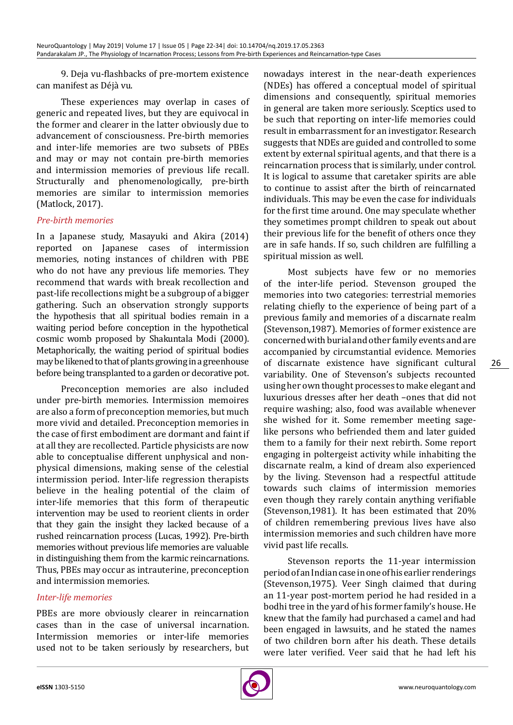9. Deja vu-flashbacks of pre-mortem existence can manifest as Déjà vu.

These experiences may overlap in cases of generic and repeated lives, but they are equivocal in the former and clearer in the latter obviously due to advancement of consciousness. Pre-birth memories and inter-life memories are two subsets of PBEs and may or may not contain pre-birth memories and intermission memories of previous life recall. Structurally and phenomenologically, pre-birth memories are similar to intermission memories (Matlock, 2017).

#### *Pre-birth memories*

In a Japanese study, Masayuki and Akira (2014) reported on Japanese cases of intermission memories, noting instances of children with PBE who do not have any previous life memories. They recommend that wards with break recollection and past-life recollections might be a subgroup of a bigger gathering. Such an observation strongly supports the hypothesis that all spiritual bodies remain in a waiting period before conception in the hypothetical cosmic womb proposed by Shakuntala Modi (2000). Metaphorically, the waiting period of spiritual bodies may be likened to that of plants growing in a greenhouse before being transplanted to a garden or decorative pot.

Preconception memories are also included under pre-birth memories. Intermission memoires are also a form of preconception memories, but much more vivid and detailed. Preconception memories in the case of first embodiment are dormant and faint if at all they are recollected. Particle physicists are now able to conceptualise different unphysical and nonphysical dimensions, making sense of the celestial intermission period. Inter-life regression therapists believe in the healing potential of the claim of inter-life memories that this form of therapeutic intervention may be used to reorient clients in order that they gain the insight they lacked because of a rushed reincarnation process (Lucas, 1992). Pre-birth memories without previous life memories are valuable in distinguishing them from the karmic reincarnations. Thus, PBEs may occur as intrauterine, preconception and intermission memories.

#### *Inter-life memories*

PBEs are more obviously clearer in reincarnation cases than in the case of universal incarnation. Intermission memories or inter-life memories used not to be taken seriously by researchers, but

nowadays interest in the near-death experiences (NDEs) has offered a conceptual model of spiritual dimensions and consequently, spiritual memories in general are taken more seriously. Sceptics used to be such that reporting on inter-life memories could result in embarrassment for an investigator. Research suggests that NDEs are guided and controlled to some extent by external spiritual agents, and that there is a reincarnation process that is similarly, under control. It is logical to assume that caretaker spirits are able to continue to assist after the birth of reincarnated individuals. This may be even the case for individuals for the first time around. One may speculate whether they sometimes prompt children to speak out about their previous life for the benefit of others once they are in safe hands. If so, such children are fulfilling a spiritual mission as well.

Most subjects have few or no memories of the inter-life period. Stevenson grouped the memories into two categories: terrestrial memories relating chiefly to the experience of being part of a previous family and memories of a discarnate realm (Stevenson,1987). Memories of former existence are concerned with burial and other family events and are accompanied by circumstantial evidence. Memories of discarnate existence have significant cultural variability. One of Stevenson's subjects recounted using her own thought processes to make elegant and luxurious dresses after her death –ones that did not require washing; also, food was available whenever she wished for it. Some remember meeting sagelike persons who befriended them and later guided them to a family for their next rebirth. Some report engaging in poltergeist activity while inhabiting the discarnate realm, a kind of dream also experienced by the living. Stevenson had a respectful attitude towards such claims of intermission memories even though they rarely contain anything verifiable (Stevenson,1981). It has been estimated that 20% of children remembering previous lives have also intermission memories and such children have more vivid past life recalls.

Stevenson reports the 11-year intermission period of an Indian case in one of his earlier renderings (Stevenson,1975). Veer Singh claimed that during an 11-year post-mortem period he had resided in a bodhi tree in the yard of his former family's house. He knew that the family had purchased a camel and had been engaged in lawsuits, and he stated the names of two children born after his death. These details were later verified. Veer said that he had left his

26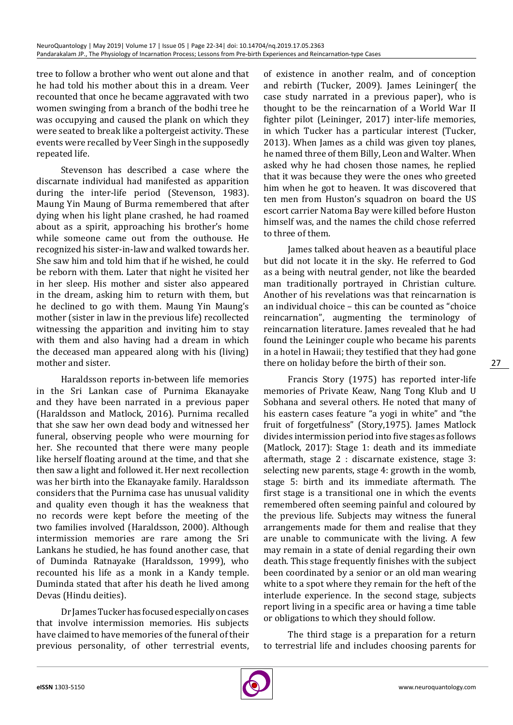tree to follow a brother who went out alone and that he had told his mother about this in a dream. Veer recounted that once he became aggravated with two women swinging from a branch of the bodhi tree he was occupying and caused the plank on which they were seated to break like a poltergeist activity. These events were recalled by Veer Singh in the supposedly repeated life.

Stevenson has described a case where the discarnate individual had manifested as apparition during the inter-life period (Stevenson, 1983). Maung Yin Maung of Burma remembered that after dying when his light plane crashed, he had roamed about as a spirit, approaching his brother's home while someone came out from the outhouse. He recognized his sister-in-law and walked towards her. She saw him and told him that if he wished, he could be reborn with them. Later that night he visited her in her sleep. His mother and sister also appeared in the dream, asking him to return with them, but he declined to go with them. Maung Yin Maung's mother (sister in law in the previous life) recollected witnessing the apparition and inviting him to stay with them and also having had a dream in which the deceased man appeared along with his (living) mother and sister.

Haraldsson reports in-between life memories in the Sri Lankan case of Purnima Ekanayake and they have been narrated in a previous paper (Haraldsson and Matlock, 2016). Purnima recalled that she saw her own dead body and witnessed her funeral, observing people who were mourning for her. She recounted that there were many people like herself floating around at the time, and that she then saw a light and followed it. Her next recollection was her birth into the Ekanayake family. Haraldsson considers that the Purnima case has unusual validity and quality even though it has the weakness that no records were kept before the meeting of the two families involved (Haraldsson, 2000). Although intermission memories are rare among the Sri Lankans he studied, he has found another case, that of Duminda Ratnayake (Haraldsson, 1999), who recounted his life as a monk in a Kandy temple. Duminda stated that after his death he lived among Devas (Hindu deities).

Dr James Tucker has focused especially on cases that involve intermission memories. His subjects have claimed to have memories of the funeral of their previous personality, of other terrestrial events,

of existence in another realm, and of conception and rebirth (Tucker, 2009). James Leininger( the case study narrated in a previous paper), who is thought to be the reincarnation of a World War II fighter pilot (Leininger, 2017) inter-life memories, in which Tucker has a particular interest (Tucker, 2013). When James as a child was given toy planes, he named three of them Billy, Leon and Walter. When asked why he had chosen those names, he replied that it was because they were the ones who greeted him when he got to heaven. It was discovered that ten men from Huston's squadron on board the US escort carrier Natoma Bay were killed before Huston himself was, and the names the child chose referred to three of them.

James talked about heaven as a beautiful place but did not locate it in the sky. He referred to God as a being with neutral gender, not like the bearded man traditionally portrayed in Christian culture. Another of his revelations was that reincarnation is an individual choice – this can be counted as "choice reincarnation", augmenting the terminology of reincarnation literature. James revealed that he had found the Leininger couple who became his parents in a hotel in Hawaii; they testified that they had gone there on holiday before the birth of their son.

Francis Story (1975) has reported inter-life memories of Private Keaw, Nang Tong Klub and U Sobhana and several others. He noted that many of his eastern cases feature "a yogi in white" and "the fruit of forgetfulness" (Story,1975). James Matlock divides intermission period into five stages as follows (Matlock, 2017): Stage 1: death and its immediate aftermath, stage 2 : discarnate existence, stage 3: selecting new parents, [stage 4: growth in the womb](file:///H:/Journals/FNN/FNN/Volume%205/FNN-Vol-5.2/FNN_5.2-AI/intermission.odt), [stage 5: birth and its immediate a](file:///H:/Journals/FNN/FNN/Volume%205/FNN-Vol-5.2/FNN_5.2-AI/intermission.odt)ftermath. The first stage is a transitional one in which the events remembered often seeming painful and coloured by the previous life. Subjects may witness the funeral arrangements made for them and realise that they are unable to communicate with the living. A few may remain in a state of denial regarding their own death. This stage frequently finishes with the subject been coordinated by a senior or an old man wearing white to a spot where they remain for the heft of the interlude experience. In the second stage, subjects report living in a specific area or having a time table or obligations to which they should follow.

The third stage is a preparation for a return to terrestrial life and includes choosing parents for

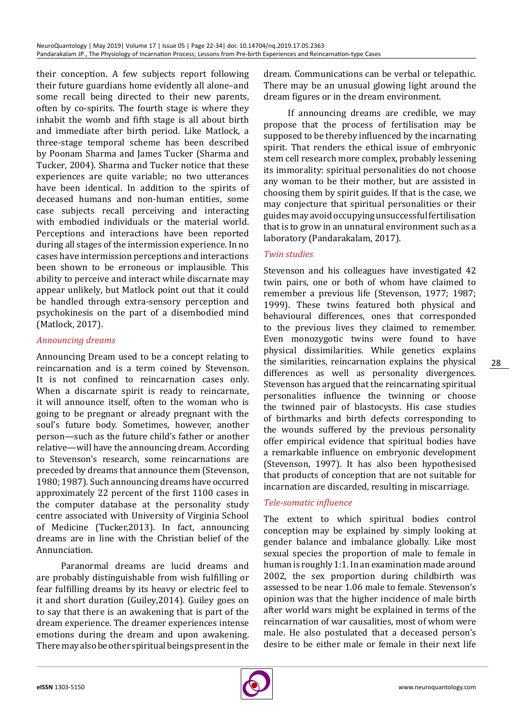their conception. A few subjects report following their future guardians home evidently all alone–and some recall being directed to their new parents, often by co-spirits. The fourth stage is where they inhabit the womb and fifth stage is all about birth and immediate after birth period. Like Matlock, a three-stage temporal scheme has been described by Poonam Sharma and James Tucker (Sharma and Tucker, 2004). Sharma and Tucker notice that these experiences are quite variable; no two utterances have been identical. In addition to the spirits of deceased humans and non-human entities, some case subjects recall perceiving and interacting with embodied individuals or the material world. Perceptions and interactions have been reported during all stages of the intermission experience. In no cases have intermission perceptions and interactions been shown to be erroneous or implausible. This ability to perceive and interact while discarnate may appear unlikely, but Matlock point out that it could be handled through extra-sensory perception and psychokinesis on the part of a disembodied mind (Matlock, 2017).

# *Announcing dreams*

Announcing Dream used to be a concept relating to reincarnation and is a term coined by Stevenson. It is not confined to reincarnation cases only. When a discarnate spirit is ready to reincarnate, it will announce itself, often to the woman who is going to be pregnant or already pregnant with the soul's future body. Sometimes, however, another person—such as the future child's father or another relative—will have the announcing dream. According to Stevenson's research, some reincarnations are preceded by dreams that announce them (Stevenson, 1980; 1987). Such announcing dreams have occurred approximately 22 percent of the first 1100 cases in the computer database at the personality study centre associated with University of Virginia School of Medicine (Tucker,2013). In fact, announcing dreams are in line with the Christian belief of the Annunciation.

Paranormal dreams are lucid dreams and are probably distinguishable from wish fulfilling or fear fulfilling dreams by its heavy or electric feel to it and short duration (Guiley,2014). Guiley goes on to say that there is an awakening that is part of the dream experience. The dreamer experiences intense emotions during the dream and upon awakening. There may also be other spiritual beings present in the

dream. Communications can be verbal or telepathic. There may be an unusual glowing light around the dream figures or in the dream environment.

If announcing dreams are credible, we may propose that the process of fertilisation may be supposed to be thereby influenced by the incarnating spirit. That renders the ethical issue of embryonic stem cell research more complex, probably lessening its immorality: spiritual personalities do not choose any woman to be their mother, but are assisted in choosing them by spirit guides. If that is the case, we may conjecture that spiritual personalities or their guides may avoid occupying unsuccessful fertilisation that is to grow in an unnatural environment such as a laboratory (Pandarakalam, 2017).

# *Twin studies*

Stevenson and his colleagues have investigated 42 twin pairs, one or both of whom have claimed to remember a previous life (Stevenson, 1977; 1987; 1999). These twins featured both physical and behavioural differences, ones that corresponded to the previous lives they claimed to remember. Even monozygotic twins were found to have physical dissimilarities. While genetics explains the similarities, reincarnation explains the physical differences as well as personality divergences. Stevenson has argued that the reincarnating spiritual personalities influence the twinning or choose the twinned pair of blastocysts. His case studies of birthmarks and birth defects corresponding to the wounds suffered by the previous personality offer empirical evidence that spiritual bodies have a remarkable influence on embryonic development (Stevenson, 1997). It has also been hypothesised that products of conception that are not suitable for incarnation are discarded, resulting in miscarriage.

# *Tele-somatic influence*

The extent to which spiritual bodies control conception may be explained by simply looking at gender balance and imbalance globally. Like most sexual species the proportion of male to female in human is roughly 1:1. In an examination made around 2002, the sex proportion during childbirth was assessed to be near 1.06 male to female. Stevenson's opinion was that the higher incidence of male birth after world wars might be explained in terms of the reincarnation of war causalities, most of whom were male. He also postulated that a deceased person's desire to be either male or female in their next life

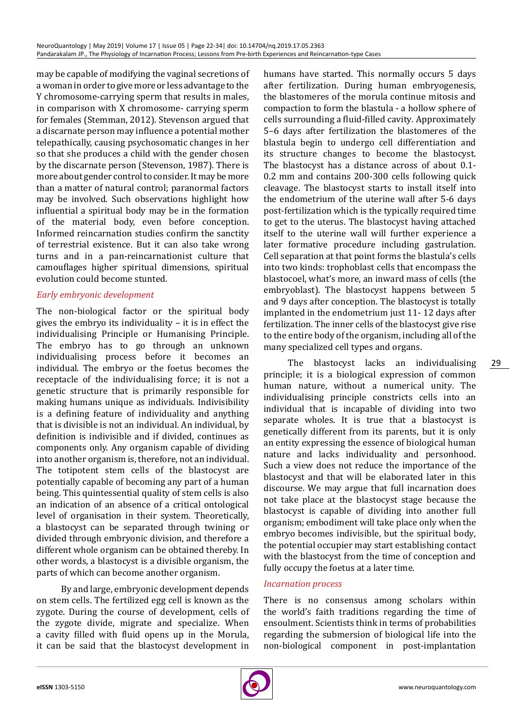may be capable of modifying the vaginal secretions of a woman in order to give more or less advantage to the Y chromosome-carrying sperm that results in males, in comparison with X chromosome- carrying sperm for females (Stemman, 2012). Stevenson argued that a discarnate person may influence a potential mother telepathically, causing psychosomatic changes in her so that she produces a child with the gender chosen by the discarnate person (Stevenson, 1987). There is more about gender control to consider. It may be more than a matter of natural control; paranormal factors may be involved. Such observations highlight how influential a spiritual body may be in the formation of the material body, even before conception. Informed reincarnation studies confirm the sanctity of terrestrial existence. But it can also take wrong turns and in a pan-reincarnationist culture that camouflages higher spiritual dimensions, spiritual evolution could become stunted.

# *Early embryonic development*

The non-biological factor or the spiritual body gives the embryo its individuality – it is in effect the individualising Principle or Humanising Principle. The embryo has to go through an unknown individualising process before it becomes an individual. The embryo or the foetus becomes the receptacle of the individualising force; it is not a genetic structure that is primarily responsible for making humans unique as individuals. Indivisibility is a defining feature of individuality and anything that is divisible is not an individual. An individual, by definition is indivisible and if divided, continues as components only. Any organism capable of dividing into another organism is, therefore, not an individual. The totipotent stem cells of the blastocyst are potentially capable of becoming any part of a human being. This quintessential quality of stem cells is also an indication of an absence of a critical ontological level of organisation in their system. Theoretically, a blastocyst can be separated through twining or divided through embryonic division, and therefore a different whole organism can be obtained thereby. In other words, a blastocyst is a divisible organism, the parts of which can become another organism.

By and large, embryonic development depends on stem cells. The fertilized egg cell is known as the zygote. During the course of development, cells of the zygote divide, migrate and specialize. When a cavity filled with fluid opens up in the Morula, it can be said that the blastocyst development in

humans have started. This normally occurs 5 days after fertilization. During human embryogenesis, the blastomeres of the morula continue mitosis and compaction to form the blastula - a hollow sphere of cells surrounding a fluid-filled cavity. Approximately 5–6 days after fertilization the blastomeres of the blastula begin to undergo cell differentiation and its structure changes to become the blastocyst. The blastocyst has a distance across of about 0.1- 0.2 mm and contains 200-300 cells following quick cleavage. The blastocyst starts to install itself into the endometrium of the uterine wall after 5-6 days post-fertilization which is the typically required time to get to the uterus. The blastocyst having attached itself to the uterine wall will further experience a later formative procedure including gastrulation. Cell separation at that point forms the blastula's cells into two kinds: trophoblast cells that encompass the blastocoel, what's more, an inward mass of cells (the embryoblast). The blastocyst happens between 5 and 9 days after conception. The blastocyst is totally implanted in the endometrium just 11- 12 days after fertilization. The inner cells of the blastocyst give rise to the entire body of the organism, including all of the many specialized cell types and organs.

The blastocyst lacks an individualising principle; it is a biological expression of common human nature, without a numerical unity. The individualising principle constricts cells into an individual that is incapable of dividing into two separate wholes. It is true that a blastocyst is genetically different from its parents, but it is only an entity expressing the essence of biological human nature and lacks individuality and personhood. Such a view does not reduce the importance of the blastocyst and that will be elaborated later in this discourse. We may argue that full incarnation does not take place at the blastocyst stage because the blastocyst is capable of dividing into another full organism; embodiment will take place only when the embryo becomes indivisible, but the spiritual body, the potential occupier may start establishing contact with the blastocyst from the time of conception and fully occupy the foetus at a later time.

#### *Incarnation process*

There is no consensus among scholars within the world's faith traditions regarding the time of ensoulment. Scientists think in terms of probabilities regarding the submersion of biological life into the non-biological component in post-implantation

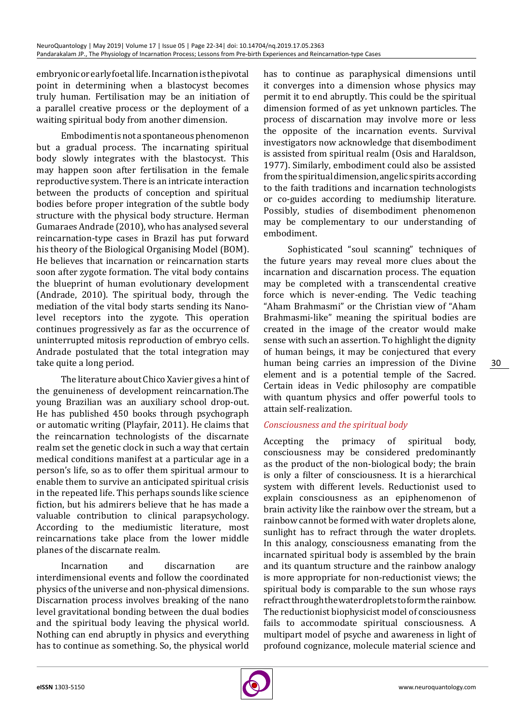embryonic or early foetal life. Incarnation is the pivotal point in determining when a blastocyst becomes truly human. Fertilisation may be an initiation of a parallel creative process or the deployment of a waiting spiritual body from another dimension.

Embodiment is not a spontaneous phenomenon but a gradual process. The incarnating spiritual body slowly integrates with the blastocyst. This may happen soon after fertilisation in the female reproductive system. There is an intricate interaction between the products of conception and spiritual bodies before proper integration of the subtle body structure with the physical body structure. Herman Gumaraes Andrade (2010), who has analysed several reincarnation-type cases in Brazil has put forward his theory of the Biological Organising Model (BOM). He believes that incarnation or reincarnation starts soon after zygote formation. The vital body contains the blueprint of human evolutionary development (Andrade, 2010). The spiritual body, through the mediation of the vital body starts sending its Nanolevel receptors into the zygote. This operation continues progressively as far as the occurrence of uninterrupted mitosis reproduction of embryo cells. Andrade postulated that the total integration may take quite a long period.

The literature about Chico Xavier gives a hint of the genuineness of development reincarnation.The young Brazilian was an auxiliary school drop-out. He has published 450 books through psychograph or automatic writing (Playfair, 2011). He claims that the reincarnation technologists of the discarnate realm set the genetic clock in such a way that certain medical conditions manifest at a particular age in a person's life, so as to offer them spiritual armour to enable them to survive an anticipated spiritual crisis in the repeated life. This perhaps sounds like science fiction, but his admirers believe that he has made a valuable contribution to clinical parapsychology. According to the mediumistic literature, most reincarnations take place from the lower middle planes of the discarnate realm.

Incarnation and discarnation are interdimensional events and follow the coordinated physics of the universe and non-physical dimensions. Discarnation process involves breaking of the nano level gravitational bonding between the dual bodies and the spiritual body leaving the physical world. Nothing can end abruptly in physics and everything has to continue as something. So, the physical world has to continue as paraphysical dimensions until it converges into a dimension whose physics may permit it to end abruptly. This could be the spiritual dimension formed of as yet unknown particles. The process of discarnation may involve more or less the opposite of the incarnation events. Survival investigators now acknowledge that disembodiment is assisted from spiritual realm (Osis and Haraldson, 1977). Similarly, embodiment could also be assisted from the spiritual dimension, angelic spirits according to the faith traditions and incarnation technologists or co-guides according to mediumship literature. Possibly, studies of disembodiment phenomenon may be complementary to our understanding of embodiment.

Sophisticated "soul scanning" techniques of the future years may reveal more clues about the incarnation and discarnation process. The equation may be completed with a transcendental creative force which is never-ending. The Vedic teaching "Aham Brahmasmi" or the Christian view of "Aham Brahmasmi-like" meaning the spiritual bodies are created in the image of the creator would make sense with such an assertion. To highlight the dignity of human beings, it may be conjectured that every human being carries an impression of the Divine element and is a potential temple of the Sacred. Certain ideas in Vedic philosophy are compatible with quantum physics and offer powerful tools to attain self-realization.

# *Consciousness and the spiritual body*

Accepting the primacy of spiritual body, consciousness may be considered predominantly as the product of the non-biological body; the brain is only a filter of consciousness. It is a hierarchical system with different levels. Reductionist used to explain consciousness as an epiphenomenon of brain activity like the rainbow over the stream, but a rainbow cannot be formed with water droplets alone, sunlight has to refract through the water droplets. In this analogy, consciousness emanating from the incarnated spiritual body is assembled by the brain and its quantum structure and the rainbow analogy is more appropriate for non-reductionist views; the spiritual body is comparable to the sun whose rays refract through the water droplets to form the rainbow. The reductionist biophysicist model of consciousness fails to accommodate spiritual consciousness. A multipart model of psyche and awareness in light of profound cognizance, molecule material science and

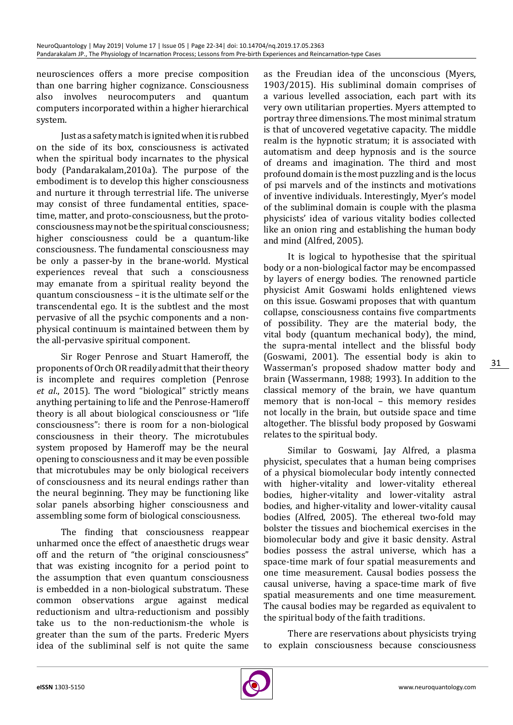neurosciences offers a more precise composition than one barring higher cognizance. Consciousness also involves neurocomputers and quantum computers incorporated within a higher hierarchical system.

Just as a safety match is ignited when it is rubbed on the side of its box, consciousness is activated when the spiritual body incarnates to the physical body (Pandarakalam,2010a). The purpose of the embodiment is to develop this higher consciousness and nurture it through terrestrial life. The universe may consist of three fundamental entities, spacetime, matter, and proto-consciousness, but the protoconsciousness may not be the spiritual consciousness; higher consciousness could be a quantum-like consciousness. The fundamental consciousness may be only a passer-by in the brane-world. Mystical experiences reveal that such a consciousness may emanate from a spiritual reality beyond the quantum consciousness – it is the ultimate self or the transcendental ego. It is the subtlest and the most pervasive of all the psychic components and a nonphysical continuum is maintained between them by the all-pervasive spiritual component.

Sir Roger Penrose and Stuart Hameroff, the proponents of Orch OR readily admit that their theory is incomplete and requires completion (Penrose *et al*., 2015). The word "biological" strictly means anything pertaining to life and the Penrose-Hameroff theory is all about biological consciousness or "life consciousness": there is room for a non-biological consciousness in their theory. The microtubules system proposed by Hameroff may be the neural opening to consciousness and it may be even possible that microtubules may be only biological receivers of consciousness and its neural endings rather than the neural beginning. They may be functioning like solar panels absorbing higher consciousness and assembling some form of biological consciousness.

The finding that consciousness reappear unharmed once the effect of anaesthetic drugs wear off and the return of "the original consciousness" that was existing incognito for a period point to the assumption that even quantum consciousness is embedded in a non-biological substratum. These common observations argue against medical reductionism and ultra-reductionism and possibly take us to the non-reductionism-the whole is greater than the sum of the parts. Frederic Myers idea of the subliminal self is not quite the same

as the Freudian idea of the unconscious (Myers, 1903/2015). His subliminal domain comprises of a various levelled association, each part with its very own utilitarian properties. Myers attempted to portray three dimensions. The most minimal stratum is that of uncovered vegetative capacity. The middle realm is the hypnotic stratum; it is associated with automatism and deep hypnosis and is the source of dreams and imagination. The third and most profound domain is the most puzzling and is the locus of psi marvels and of the instincts and motivations of inventive individuals. Interestingly, Myer's model of the subliminal domain is couple with the plasma physicists' idea of various vitality bodies collected like an onion ring and establishing the human body and mind (Alfred, 2005).

It is logical to hypothesise that the spiritual body or a non-biological factor may be encompassed by layers of energy bodies. The renowned particle physicist Amit Goswami holds enlightened views on this issue. Goswami proposes that with quantum collapse, consciousness contains five compartments of possibility. They are the material body, the vital body (quantum mechanical body), the mind, the supra-mental intellect and the blissful body (Goswami, 2001). The essential body is akin to Wasserman's proposed shadow matter body and brain (Wassermann, 1988; 1993). In addition to the classical memory of the brain, we have quantum memory that is non-local – this memory resides not locally in the brain, but outside space and time altogether. The blissful body proposed by Goswami relates to the spiritual body.

Similar to Goswami, Jay Alfred, a plasma physicist, speculates that a human being comprises of a physical biomolecular body intently connected with higher-vitality and lower-vitality ethereal bodies, higher-vitality and lower-vitality astral bodies, and higher-vitality and lower-vitality causal bodies (Alfred, 2005). The ethereal two-fold may bolster the tissues and biochemical exercises in the biomolecular body and give it basic density. Astral bodies possess the astral universe, which has a space-time mark of four spatial measurements and one time measurement. Causal bodies possess the causal universe, having a space-time mark of five spatial measurements and one time measurement. The causal bodies may be regarded as equivalent to the spiritual body of the faith traditions.

There are reservations about physicists trying to explain consciousness because consciousness

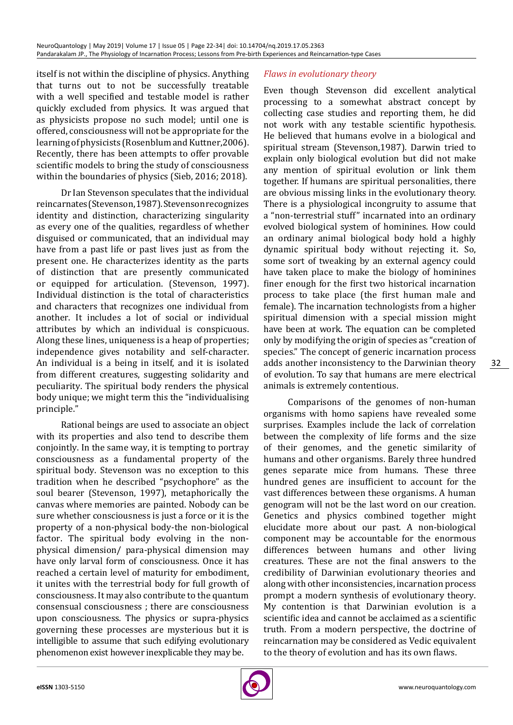itself is not within the discipline of physics. Anything that turns out to not be successfully treatable with a well specified and testable model is rather quickly excluded from physics. It was argued that as physicists propose no such model; until one is offered, consciousness will not be appropriate for the learning of physicists (Rosenblum and Kuttner,2006). Recently, there has been attempts to offer provable scientific models to bring the study of consciousness within the boundaries of physics (Sieb, 2016; 2018).

Dr Ian Stevenson speculates that the individual reincarnates (Stevenson, 1987). Stevenson recognizes identity and distinction, characterizing singularity as every one of the qualities, regardless of whether disguised or communicated, that an individual may have from a past life or past lives just as from the present one. He characterizes identity as the parts of distinction that are presently communicated or equipped for articulation. (Stevenson, 1997). Individual distinction is the total of characteristics and characters that recognizes one individual from another. It includes a lot of social or individual attributes by which an individual is conspicuous. Along these lines, uniqueness is a heap of properties; independence gives notability and self-character. An individual is a being in itself, and it is isolated from different creatures, suggesting solidarity and peculiarity. The spiritual body renders the physical body unique; we might term this the "individualising principle."

Rational beings are used to associate an object with its properties and also tend to describe them conjointly. In the same way, it is tempting to portray consciousness as a fundamental property of the spiritual body. Stevenson was no exception to this tradition when he described "psychophore" as the soul bearer (Stevenson, 1997), metaphorically the canvas where memories are painted. Nobody can be sure whether consciousness is just a force or it is the property of a non-physical body-the non-biological factor. The spiritual body evolving in the nonphysical dimension/ para-physical dimension may have only larval form of consciousness. Once it has reached a certain level of maturity for embodiment, it unites with the terrestrial body for full growth of consciousness. It may also contribute to the quantum consensual consciousness ; there are consciousness upon consciousness. The physics or supra-physics governing these processes are mysterious but it is intelligible to assume that such edifying evolutionary phenomenon exist however inexplicable they may be.

# *Flaws in evolutionary theory*

Even though Stevenson did excellent analytical processing to a somewhat abstract concept by collecting case studies and reporting them, he did not work with any testable scientific hypothesis. He believed that humans evolve in a biological and spiritual stream (Stevenson,1987). Darwin tried to explain only biological evolution but did not make any mention of spiritual evolution or link them together. If humans are spiritual personalities, there are obvious missing links in the evolutionary theory. There is a physiological incongruity to assume that a "non-terrestrial stuff" incarnated into an ordinary evolved biological system of hominines. How could an ordinary animal biological body hold a highly dynamic spiritual body without rejecting it. So, some sort of tweaking by an external agency could have taken place to make the biology of hominines finer enough for the first two historical incarnation process to take place (the first human male and female). The incarnation technologists from a higher spiritual dimension with a special mission might have been at work. The equation can be completed only by modifying the origin of species as "creation of species." The concept of generic incarnation process adds another inconsistency to the Darwinian theory of evolution. To say that humans are mere electrical animals is extremely contentious.

Comparisons of the genomes of non-human organisms with homo sapiens have revealed some surprises. Examples include the lack of correlation between the complexity of life forms and the size of their genomes, and the genetic similarity of humans and other organisms. Barely three hundred genes separate mice from humans. These three hundred genes are insufficient to account for the vast differences between these organisms. A human genogram will not be the last word on our creation. Genetics and physics combined together might elucidate more about our past. A non-biological component may be accountable for the enormous differences between humans and other living creatures. These are not the final answers to the credibility of Darwinian evolutionary theories and along with other inconsistencies, incarnation process prompt a modern synthesis of evolutionary theory. My contention is that Darwinian evolution is a scientific idea and cannot be acclaimed as a scientific truth. From a modern perspective, the doctrine of reincarnation may be considered as Vedic equivalent to the theory of evolution and has its own flaws.

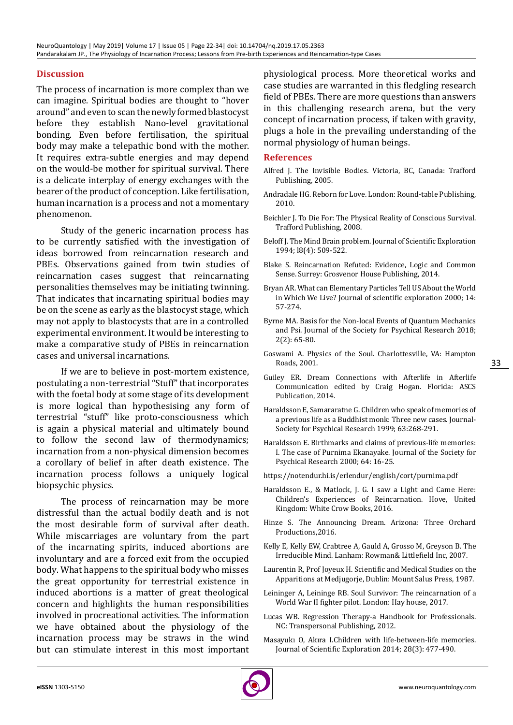# **Discussion**

The process of incarnation is more complex than we can imagine. Spiritual bodies are thought to "hover around" and even to scan the newly formed blastocyst before they establish Nano-level gravitational bonding. Even before fertilisation, the spiritual body may make a telepathic bond with the mother. It requires extra-subtle energies and may depend on the would-be mother for spiritual survival. There is a delicate interplay of energy exchanges with the bearer of the product of conception. Like fertilisation, human incarnation is a process and not a momentary phenomenon.

Study of the generic incarnation process has to be currently satisfied with the investigation of ideas borrowed from reincarnation research and PBEs. Observations gained from twin studies of reincarnation cases suggest that reincarnating personalities themselves may be initiating twinning. That indicates that incarnating spiritual bodies may be on the scene as early as the blastocyst stage, which may not apply to blastocysts that are in a controlled experimental environment. It would be interesting to make a comparative study of PBEs in reincarnation cases and universal incarnations.

If we are to believe in post-mortem existence, postulating a non-terrestrial "Stuff" that incorporates with the foetal body at some stage of its development is more logical than hypothesising any form of terrestrial "stuff" like proto-consciousness which is again a physical material and ultimately bound to follow the second law of thermodynamics; incarnation from a non-physical dimension becomes a corollary of belief in after death existence. The incarnation process follows a uniquely logical biopsychic physics.

The process of reincarnation may be more distressful than the actual bodily death and is not the most desirable form of survival after death. While miscarriages are voluntary from the part of the incarnating spirits, induced abortions are involuntary and are a forced exit from the occupied body. What happens to the spiritual body who misses the great opportunity for terrestrial existence in induced abortions is a matter of great theological concern and highlights the human responsibilities involved in procreational activities. The information we have obtained about the physiology of the incarnation process may be straws in the wind but can stimulate interest in this most important physiological process. More theoretical works and case studies are warranted in this fledgling research field of PBEs. There are more questions than answers in this challenging research arena, but the very concept of incarnation process, if taken with gravity, plugs a hole in the prevailing understanding of the normal physiology of human beings.

#### **References**

- Alfred J. The Invisible Bodies. Victoria, BC, Canada: Trafford Publishing, 2005.
- Andradale HG. Reborn for Love. London: Round-table Publishing, 2010.
- Beichler J. To Die For: The Physical Reality of Conscious Survival. Trafford Publishing, 2008.
- Beloff J. The Mind Brain problem. Journal of Scientific Exploration 1994; l8(4): 509-522.
- Blake S. Reincarnation Refuted: Evidence, Logic and Common Sense. Surrey: Grosvenor House Publishing, 2014.
- Bryan AR. What can Elementary Particles Tell US About the World in Which We Live? Journal of scientific exploration 2000; 14: 57-274.
- Byrne MA. Basis for the Non-local Events of Quantum Mechanics and Psi. Journal of the Society for Psychical Research 2018; 2(2): 65-80.
- Goswami A. Physics of the Soul. Charlottesville, VA: Hampton Roads, 2001.
- Guiley ER. Dream Connections with Afterlife in Afterlife Communication edited by Craig Hogan. Florida: ASCS Publication, 2014.
- Haraldsson E, Samararatne G. Children who speak of memories of a previous life as a Buddhist monk: Three new cases. Journal-Society for Psychical Research 1999; 63:268-291.
- Haraldsson E. Birthmarks and claims of previous-life memories: I. The case of Purnima Ekanayake. Journal of the Society for Psychical Research 2000; 64: 16-25.

https://notendur.hi.is/erlendur/english/cort/purnima.pdf

- Haraldsson E., & Matlock, J. G. I saw a Light and Came Here: Children's Experiences of Reincarnation. Hove, United Kingdom: White Crow Books, 2016.
- Hinze S. The Announcing Dream. Arizona: Three Orchard Productions,2016.
- Kelly E, Kelly EW, Crabtree A, Gauld A, Grosso M, Greyson B. The Irreducible Mind. Lanham: Rowman& Littlefield Inc, 2007.
- Laurentin R, Prof Joyeux H. Scientific and Medical Studies on the Apparitions at Medjugorje, Dublin: Mount Salus Press, 1987.
- Leininger A, Leininge RB. Soul Survivor: The reincarnation of a World War II fighter pilot. London: Hay house, 2017.
- Lucas WB. Regression Therapy-a Handbook for Professionals. NC: Transpersonal Publishing, 2012.
- Masayukı O, Akıra I.Children with life-between-life memories. Journal of Scientific Exploration 2014; 28(3): 477-490.